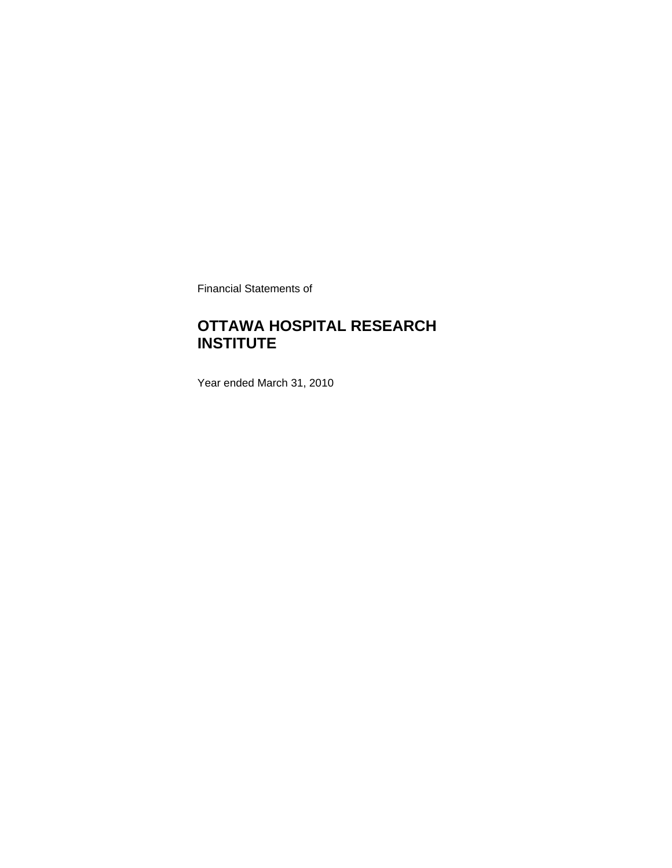Financial Statements of

### **OTTAWA HOSPITAL RESEARCH INSTITUTE**

Year ended March 31, 2010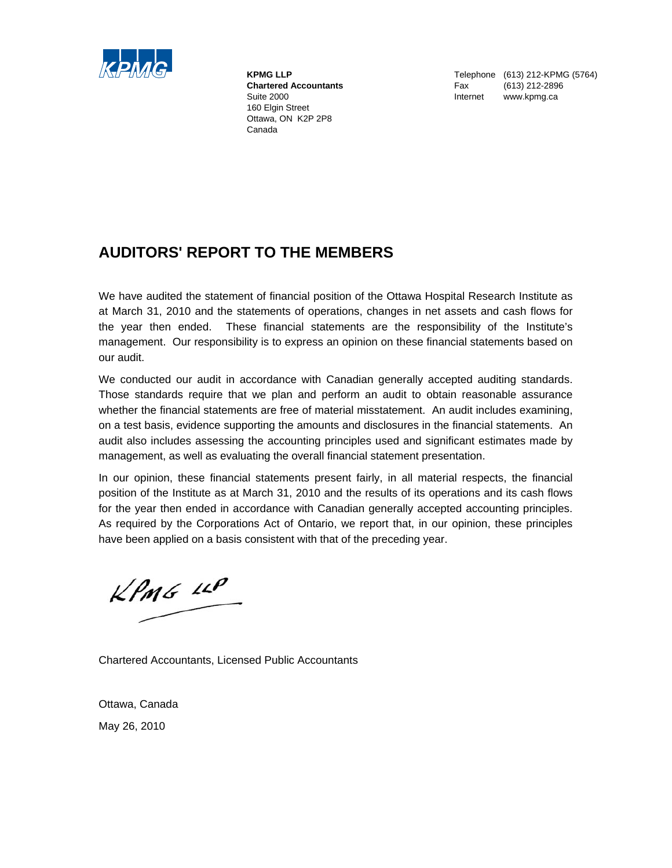

 160 Elgin Street Ottawa, ON K2P 2P8 Canada

**KPMG LLP** Telephone (613) 212-KPMG (5764)  **Chartered Accountants** Fax (613) 212-2896 Suite 2000 **Internet www.kpmg.ca** 

### **AUDITORS' REPORT TO THE MEMBERS**

We have audited the statement of financial position of the Ottawa Hospital Research Institute as at March 31, 2010 and the statements of operations, changes in net assets and cash flows for the year then ended. These financial statements are the responsibility of the Institute's management. Our responsibility is to express an opinion on these financial statements based on our audit.

We conducted our audit in accordance with Canadian generally accepted auditing standards. Those standards require that we plan and perform an audit to obtain reasonable assurance whether the financial statements are free of material misstatement. An audit includes examining, on a test basis, evidence supporting the amounts and disclosures in the financial statements. An audit also includes assessing the accounting principles used and significant estimates made by management, as well as evaluating the overall financial statement presentation.

In our opinion, these financial statements present fairly, in all material respects, the financial position of the Institute as at March 31, 2010 and the results of its operations and its cash flows for the year then ended in accordance with Canadian generally accepted accounting principles. As required by the Corporations Act of Ontario, we report that, in our opinion, these principles have been applied on a basis consistent with that of the preceding year.

 $KPMG$  14P

Chartered Accountants, Licensed Public Accountants

Ottawa, Canada May 26, 2010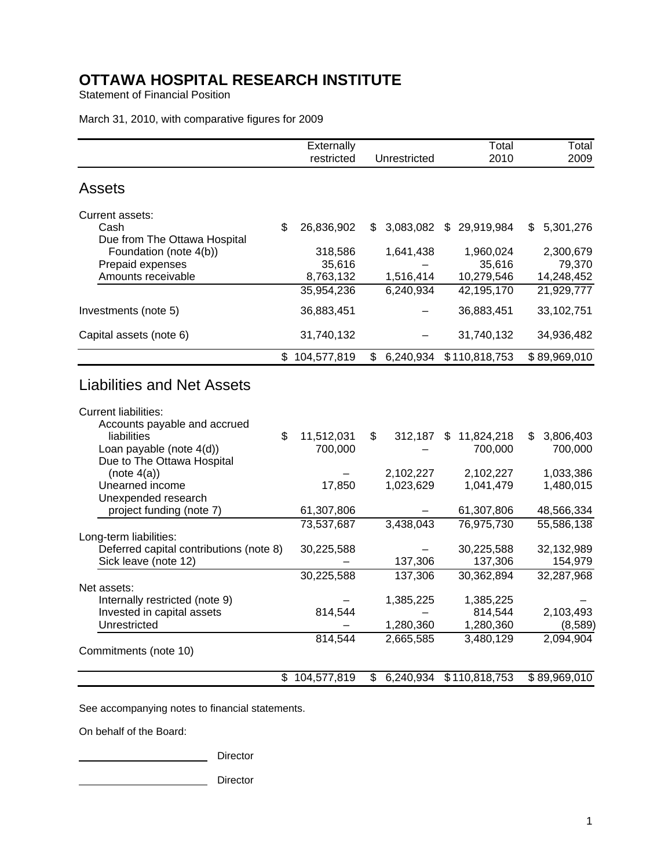Statement of Financial Position

March 31, 2010, with comparative figures for 2009

|                                                                                                  | Externally              |                        | Total                    | Total                    |
|--------------------------------------------------------------------------------------------------|-------------------------|------------------------|--------------------------|--------------------------|
|                                                                                                  | restricted              | Unrestricted           | 2010                     | 2009                     |
| <b>Assets</b>                                                                                    |                         |                        |                          |                          |
| Current assets:                                                                                  |                         |                        |                          |                          |
| Cash                                                                                             | \$<br>26,836,902        | \$<br>3,083,082        | \$29,919,984             | 5,301,276<br>\$          |
| Due from The Ottawa Hospital                                                                     |                         |                        |                          |                          |
| Foundation (note 4(b))                                                                           | 318,586                 | 1,641,438              | 1,960,024                | 2,300,679                |
| Prepaid expenses<br>Amounts receivable                                                           | 35,616                  |                        | 35,616                   | 79,370                   |
|                                                                                                  | 8,763,132<br>35,954,236 | 1,516,414<br>6,240,934 | 10,279,546<br>42,195,170 | 14,248,452<br>21,929,777 |
|                                                                                                  |                         |                        |                          |                          |
| Investments (note 5)                                                                             | 36,883,451              |                        | 36,883,451               | 33,102,751               |
| Capital assets (note 6)                                                                          | 31,740,132              |                        | 31,740,132               | 34,936,482               |
|                                                                                                  | \$<br>104,577,819       | \$<br>6,240,934        | \$110,818,753            | \$89,969,010             |
| <b>Liabilities and Net Assets</b><br><b>Current liabilities:</b><br>Accounts payable and accrued |                         |                        |                          |                          |
| liabilities                                                                                      | \$<br>11,512,031        | \$<br>$312,187$ \$     | 11,824,218               | 3,806,403<br>\$          |
| Loan payable (note 4(d))                                                                         | 700,000                 |                        | 700,000                  | 700,000                  |
| Due to The Ottawa Hospital                                                                       |                         |                        |                          |                          |
| (note 4(a))                                                                                      |                         | 2,102,227              | 2,102,227                | 1,033,386                |
| Unearned income                                                                                  | 17,850                  | 1,023,629              | 1,041,479                | 1,480,015                |
| Unexpended research                                                                              |                         |                        |                          |                          |
| project funding (note 7)                                                                         | 61,307,806              |                        | 61,307,806               | 48,566,334               |
|                                                                                                  | 73,537,687              | 3,438,043              | 76,975,730               | 55,586,138               |
| Long-term liabilities:<br>Deferred capital contributions (note 8)                                | 30,225,588              |                        | 30,225,588               | 32,132,989               |
| Sick leave (note 12)                                                                             |                         | 137,306                | 137,306                  | 154,979                  |
|                                                                                                  | 30,225,588              | 137,306                | 30,362,894               | 32,287,968               |
| Net assets:                                                                                      |                         |                        |                          |                          |
| Internally restricted (note 9)                                                                   |                         | 1,385,225              | 1,385,225                |                          |
| Invested in capital assets                                                                       | 814,544                 |                        | 814,544                  | 2,103,493                |
| Unrestricted                                                                                     |                         | 1,280,360              | 1,280,360                | (8,589)                  |
|                                                                                                  | 814,544                 | 2,665,585              | 3,480,129                | 2,094,904                |
| Commitments (note 10)                                                                            |                         |                        |                          |                          |
|                                                                                                  | \$104,577,819           | \$<br>6,240,934        | \$110,818,753            | \$89,969,010             |

See accompanying notes to financial statements.

On behalf of the Board:

**Director** Director

**Director** Director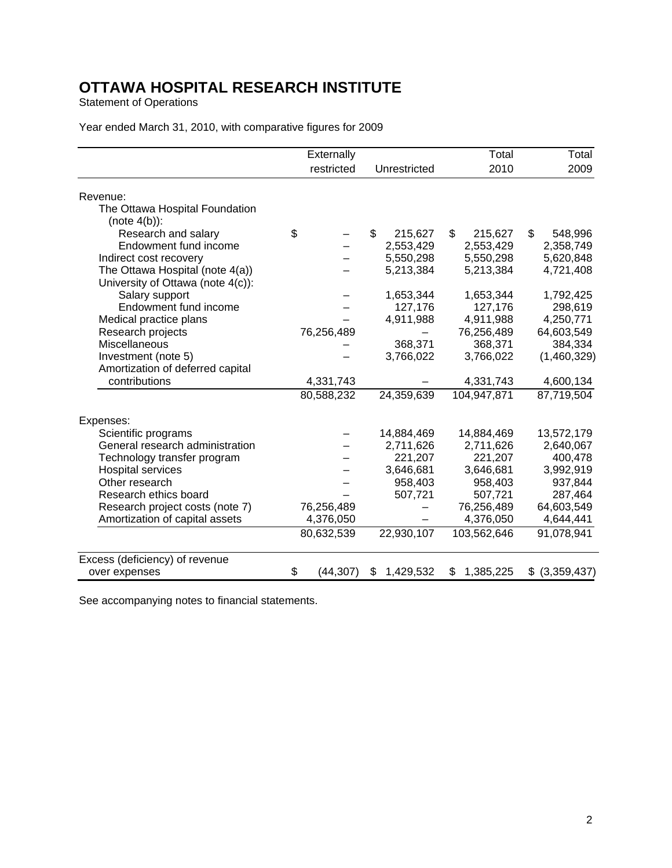Statement of Operations

|                                                   | Externally      |                 | Total           | Total             |
|---------------------------------------------------|-----------------|-----------------|-----------------|-------------------|
|                                                   | restricted      | Unrestricted    | 2010            | 2009              |
| Revenue:                                          |                 |                 |                 |                   |
| The Ottawa Hospital Foundation<br>$(note 4(b))$ : |                 |                 |                 |                   |
| Research and salary                               | \$              | \$<br>215,627   | \$<br>215,627   | 548,996<br>\$     |
| Endowment fund income                             |                 | 2,553,429       | 2,553,429       | 2,358,749         |
| Indirect cost recovery                            |                 | 5,550,298       | 5,550,298       | 5,620,848         |
| The Ottawa Hospital (note 4(a))                   |                 | 5,213,384       | 5,213,384       | 4,721,408         |
| University of Ottawa (note 4(c)):                 |                 |                 |                 |                   |
| Salary support                                    |                 | 1,653,344       | 1,653,344       | 1,792,425         |
| Endowment fund income                             |                 | 127,176         | 127,176         | 298,619           |
| Medical practice plans                            |                 | 4,911,988       | 4,911,988       | 4,250,771         |
| Research projects                                 | 76,256,489      |                 | 76,256,489      | 64,603,549        |
| Miscellaneous                                     |                 | 368,371         | 368,371         | 384,334           |
| Investment (note 5)                               |                 | 3,766,022       | 3,766,022       | (1,460,329)       |
| Amortization of deferred capital                  |                 |                 |                 |                   |
| contributions                                     | 4,331,743       |                 | 4,331,743       | 4,600,134         |
|                                                   | 80,588,232      | 24,359,639      | 104,947,871     | 87,719,504        |
| Expenses:                                         |                 |                 |                 |                   |
| Scientific programs                               |                 | 14,884,469      | 14,884,469      | 13,572,179        |
| General research administration                   |                 | 2,711,626       | 2,711,626       | 2,640,067         |
| Technology transfer program                       |                 | 221,207         | 221,207         | 400,478           |
| <b>Hospital services</b>                          |                 | 3,646,681       | 3,646,681       | 3,992,919         |
| Other research                                    |                 | 958,403         | 958,403         | 937,844           |
| Research ethics board                             |                 | 507,721         | 507,721         | 287,464           |
| Research project costs (note 7)                   | 76,256,489      |                 | 76,256,489      | 64,603,549        |
| Amortization of capital assets                    | 4,376,050       |                 | 4,376,050       | 4,644,441         |
|                                                   | 80,632,539      | 22,930,107      | 103,562,646     | 91,078,941        |
| Excess (deficiency) of revenue                    |                 |                 |                 |                   |
| over expenses                                     | \$<br>(44, 307) | 1,429,532<br>\$ | 1,385,225<br>\$ | (3,359,437)<br>\$ |

### Year ended March 31, 2010, with comparative figures for 2009

See accompanying notes to financial statements.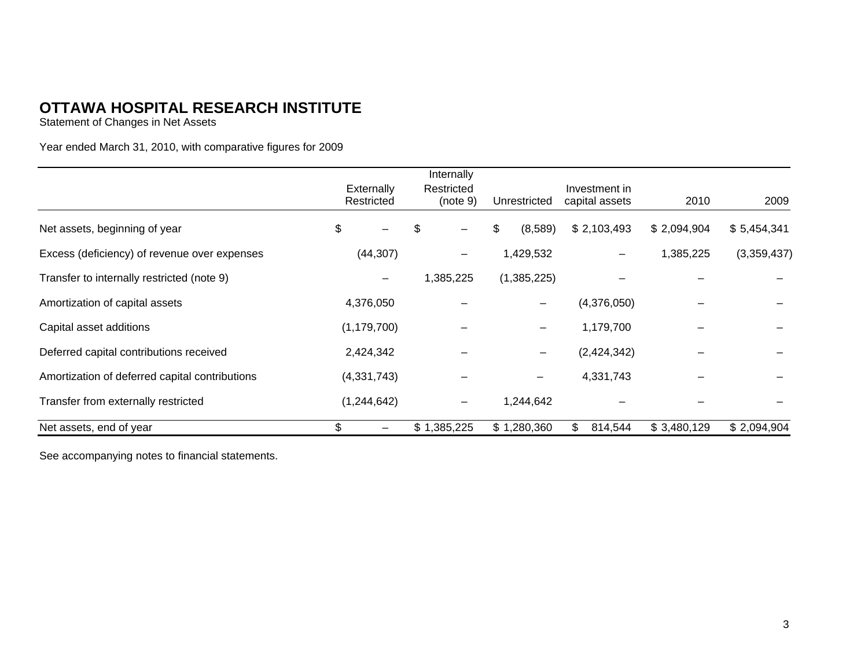Statement of Changes in Net Assets

Year ended March 31, 2010, with comparative figures for 2009

|                                                |                   | Internally  |    |              |                |             |             |
|------------------------------------------------|-------------------|-------------|----|--------------|----------------|-------------|-------------|
|                                                | <b>Externally</b> | Restricted  |    |              | Investment in  |             |             |
|                                                | Restricted        | (note 9)    |    | Unrestricted | capital assets | 2010        | 2009        |
| Net assets, beginning of year                  | \$                | \$          | \$ | (8,589)      | \$2,103,493    | \$2,094,904 | \$5,454,341 |
| Excess (deficiency) of revenue over expenses   | (44, 307)         | —           |    | 1,429,532    |                | 1,385,225   | (3,359,437) |
| Transfer to internally restricted (note 9)     | $\qquad \qquad -$ | 1,385,225   |    | (1,385,225)  |                |             |             |
| Amortization of capital assets                 | 4,376,050         |             |    |              | (4,376,050)    |             |             |
| Capital asset additions                        | (1, 179, 700)     |             |    |              | 1,179,700      |             |             |
| Deferred capital contributions received        | 2,424,342         |             |    |              | (2,424,342)    |             |             |
| Amortization of deferred capital contributions | (4,331,743)       |             |    |              | 4,331,743      |             |             |
| Transfer from externally restricted            | (1, 244, 642)     | —           |    | 1,244,642    |                |             |             |
| Net assets, end of year                        |                   | \$1,385,225 |    | \$1,280,360  | 814,544<br>\$. | \$3,480,129 | \$2,094,904 |

See accompanying notes to financial statements.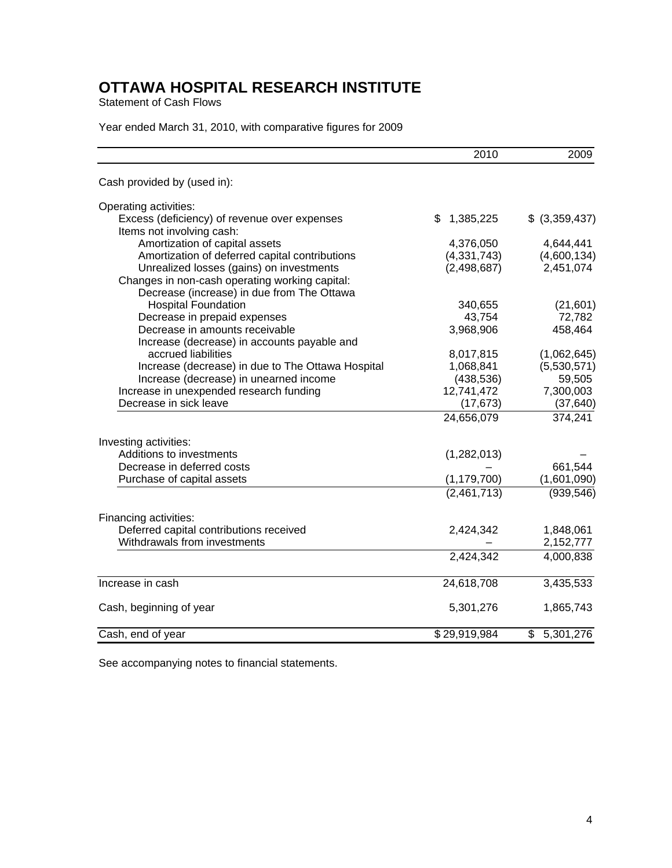Statement of Cash Flows

Year ended March 31, 2010, with comparative figures for 2009

|                                                                                              | 2010            | 2009           |
|----------------------------------------------------------------------------------------------|-----------------|----------------|
| Cash provided by (used in):                                                                  |                 |                |
| Operating activities:                                                                        |                 |                |
| Excess (deficiency) of revenue over expenses<br>Items not involving cash:                    | \$<br>1,385,225 | \$ (3,359,437) |
| Amortization of capital assets                                                               | 4,376,050       | 4,644,441      |
| Amortization of deferred capital contributions                                               | (4, 331, 743)   | (4,600,134)    |
| Unrealized losses (gains) on investments                                                     | (2, 498, 687)   | 2,451,074      |
| Changes in non-cash operating working capital:<br>Decrease (increase) in due from The Ottawa |                 |                |
| <b>Hospital Foundation</b>                                                                   | 340,655         | (21,601)       |
| Decrease in prepaid expenses                                                                 | 43,754          | 72,782         |
| Decrease in amounts receivable                                                               | 3,968,906       | 458,464        |
| Increase (decrease) in accounts payable and                                                  |                 |                |
| accrued liabilities                                                                          | 8,017,815       | (1,062,645)    |
| Increase (decrease) in due to The Ottawa Hospital                                            | 1,068,841       | (5,530,571)    |
| Increase (decrease) in unearned income                                                       | (438, 536)      | 59,505         |
| Increase in unexpended research funding                                                      | 12,741,472      | 7,300,003      |
| Decrease in sick leave                                                                       | (17, 673)       | (37, 640)      |
|                                                                                              | 24,656,079      | 374,241        |
| Investing activities:                                                                        |                 |                |
| Additions to investments                                                                     | (1,282,013)     |                |
| Decrease in deferred costs                                                                   |                 | 661,544        |
| Purchase of capital assets                                                                   | (1, 179, 700)   | (1,601,090)    |
|                                                                                              | (2,461,713)     | (939, 546)     |
| Financing activities:                                                                        |                 |                |
| Deferred capital contributions received                                                      | 2,424,342       | 1,848,061      |
| Withdrawals from investments                                                                 |                 | 2,152,777      |
|                                                                                              | 2,424,342       | 4,000,838      |
| Increase in cash                                                                             | 24,618,708      | 3,435,533      |
| Cash, beginning of year                                                                      | 5,301,276       | 1,865,743      |
|                                                                                              |                 |                |
| Cash, end of year                                                                            | \$29,919,984    | \$5,301,276    |

See accompanying notes to financial statements.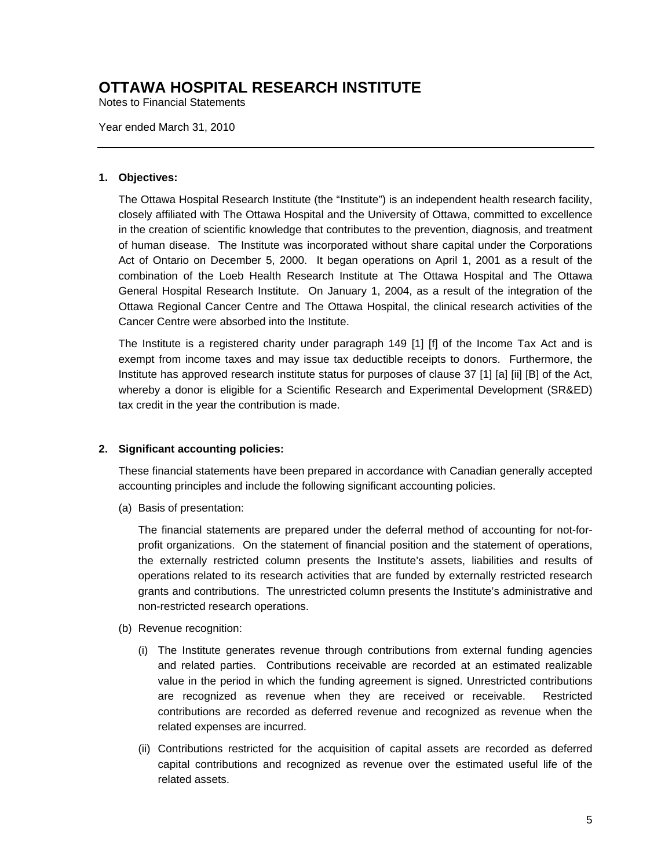Notes to Financial Statements

Year ended March 31, 2010

#### **1. Objectives:**

The Ottawa Hospital Research Institute (the "Institute") is an independent health research facility, closely affiliated with The Ottawa Hospital and the University of Ottawa, committed to excellence in the creation of scientific knowledge that contributes to the prevention, diagnosis, and treatment of human disease. The Institute was incorporated without share capital under the Corporations Act of Ontario on December 5, 2000. It began operations on April 1, 2001 as a result of the combination of the Loeb Health Research Institute at The Ottawa Hospital and The Ottawa General Hospital Research Institute. On January 1, 2004, as a result of the integration of the Ottawa Regional Cancer Centre and The Ottawa Hospital, the clinical research activities of the Cancer Centre were absorbed into the Institute.

The Institute is a registered charity under paragraph 149 [1] [f] of the Income Tax Act and is exempt from income taxes and may issue tax deductible receipts to donors. Furthermore, the Institute has approved research institute status for purposes of clause 37 [1] [a] [ii] [B] of the Act, whereby a donor is eligible for a Scientific Research and Experimental Development (SR&ED) tax credit in the year the contribution is made.

#### **2. Significant accounting policies:**

These financial statements have been prepared in accordance with Canadian generally accepted accounting principles and include the following significant accounting policies.

(a) Basis of presentation:

The financial statements are prepared under the deferral method of accounting for not-forprofit organizations. On the statement of financial position and the statement of operations, the externally restricted column presents the Institute's assets, liabilities and results of operations related to its research activities that are funded by externally restricted research grants and contributions. The unrestricted column presents the Institute's administrative and non-restricted research operations.

- (b) Revenue recognition:
	- (i) The Institute generates revenue through contributions from external funding agencies and related parties. Contributions receivable are recorded at an estimated realizable value in the period in which the funding agreement is signed. Unrestricted contributions are recognized as revenue when they are received or receivable. Restricted contributions are recorded as deferred revenue and recognized as revenue when the related expenses are incurred.
	- (ii) Contributions restricted for the acquisition of capital assets are recorded as deferred capital contributions and recognized as revenue over the estimated useful life of the related assets.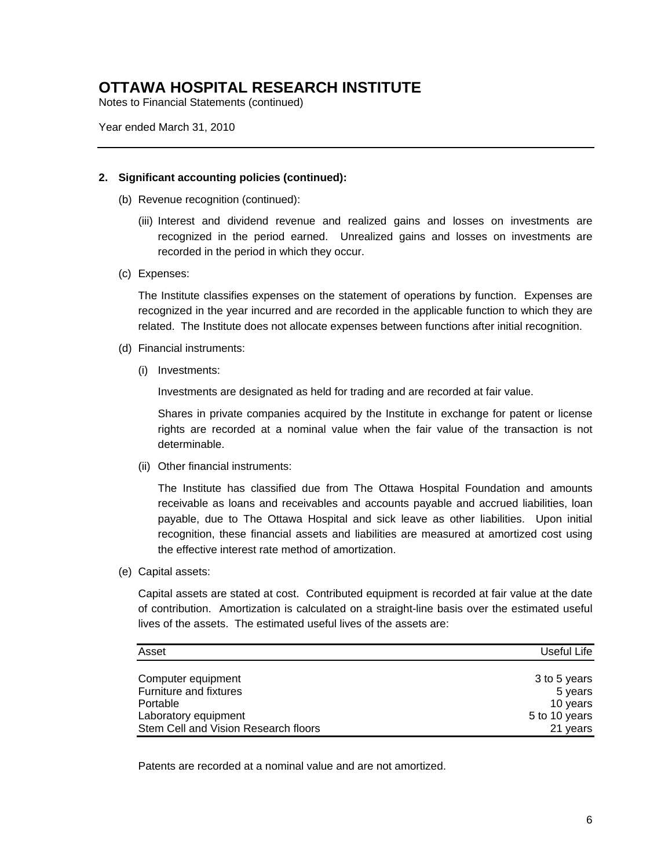Notes to Financial Statements (continued)

Year ended March 31, 2010

#### **2. Significant accounting policies (continued):**

- (b) Revenue recognition (continued):
	- (iii) Interest and dividend revenue and realized gains and losses on investments are recognized in the period earned. Unrealized gains and losses on investments are recorded in the period in which they occur.
- (c) Expenses:

The Institute classifies expenses on the statement of operations by function. Expenses are recognized in the year incurred and are recorded in the applicable function to which they are related. The Institute does not allocate expenses between functions after initial recognition.

- (d) Financial instruments:
	- (i) Investments:

Investments are designated as held for trading and are recorded at fair value.

Shares in private companies acquired by the Institute in exchange for patent or license rights are recorded at a nominal value when the fair value of the transaction is not determinable.

(ii) Other financial instruments:

The Institute has classified due from The Ottawa Hospital Foundation and amounts receivable as loans and receivables and accounts payable and accrued liabilities, loan payable, due to The Ottawa Hospital and sick leave as other liabilities. Upon initial recognition, these financial assets and liabilities are measured at amortized cost using the effective interest rate method of amortization.

(e) Capital assets:

Capital assets are stated at cost. Contributed equipment is recorded at fair value at the date of contribution. Amortization is calculated on a straight-line basis over the estimated useful lives of the assets. The estimated useful lives of the assets are:

| Asset                                | Useful Life   |
|--------------------------------------|---------------|
|                                      |               |
| Computer equipment                   | 3 to 5 years  |
| Furniture and fixtures               | 5 years       |
| Portable                             | 10 years      |
| Laboratory equipment                 | 5 to 10 years |
| Stem Cell and Vision Research floors | 21 years      |

Patents are recorded at a nominal value and are not amortized.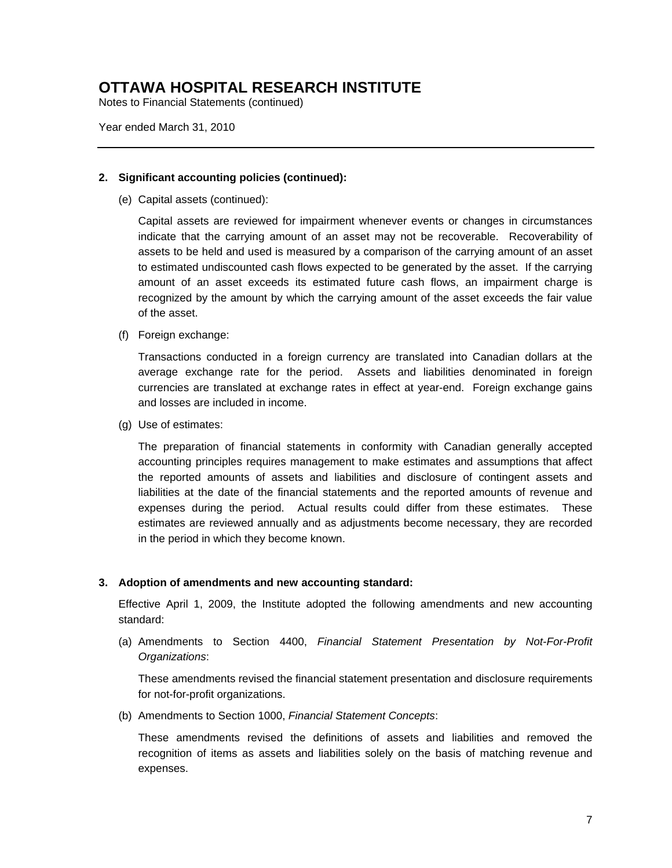Notes to Financial Statements (continued)

Year ended March 31, 2010

#### **2. Significant accounting policies (continued):**

(e) Capital assets (continued):

Capital assets are reviewed for impairment whenever events or changes in circumstances indicate that the carrying amount of an asset may not be recoverable. Recoverability of assets to be held and used is measured by a comparison of the carrying amount of an asset to estimated undiscounted cash flows expected to be generated by the asset. If the carrying amount of an asset exceeds its estimated future cash flows, an impairment charge is recognized by the amount by which the carrying amount of the asset exceeds the fair value of the asset.

(f) Foreign exchange:

Transactions conducted in a foreign currency are translated into Canadian dollars at the average exchange rate for the period. Assets and liabilities denominated in foreign currencies are translated at exchange rates in effect at year-end. Foreign exchange gains and losses are included in income.

(g) Use of estimates:

The preparation of financial statements in conformity with Canadian generally accepted accounting principles requires management to make estimates and assumptions that affect the reported amounts of assets and liabilities and disclosure of contingent assets and liabilities at the date of the financial statements and the reported amounts of revenue and expenses during the period. Actual results could differ from these estimates. These estimates are reviewed annually and as adjustments become necessary, they are recorded in the period in which they become known.

#### **3. Adoption of amendments and new accounting standard:**

Effective April 1, 2009, the Institute adopted the following amendments and new accounting standard:

(a) Amendments to Section 4400, *Financial Statement Presentation by Not-For-Profit Organizations*:

These amendments revised the financial statement presentation and disclosure requirements for not-for-profit organizations.

(b) Amendments to Section 1000, *Financial Statement Concepts*:

These amendments revised the definitions of assets and liabilities and removed the recognition of items as assets and liabilities solely on the basis of matching revenue and expenses.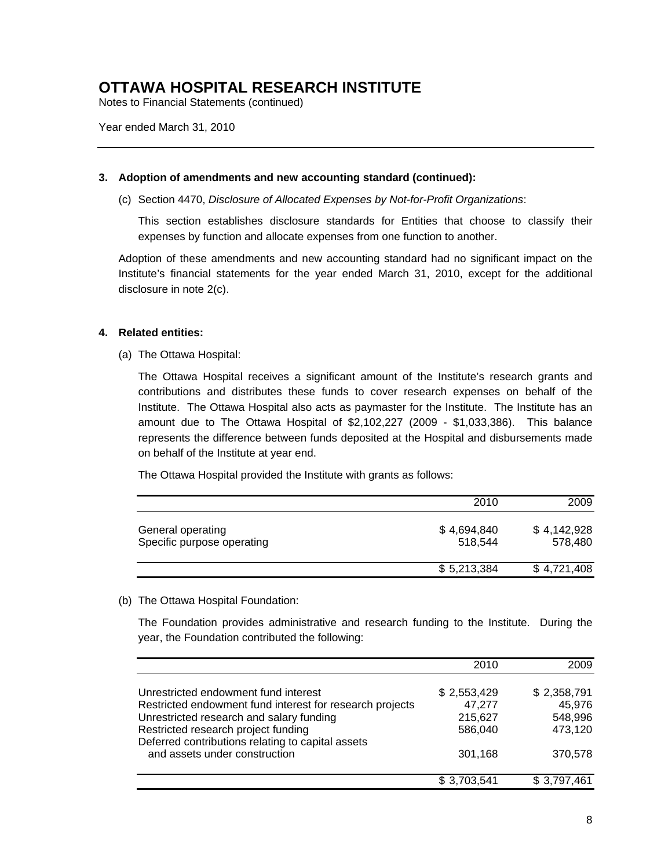Notes to Financial Statements (continued)

Year ended March 31, 2010

#### **3. Adoption of amendments and new accounting standard (continued):**

(c) Section 4470, *Disclosure of Allocated Expenses by Not-for-Profit Organizations*:

This section establishes disclosure standards for Entities that choose to classify their expenses by function and allocate expenses from one function to another.

Adoption of these amendments and new accounting standard had no significant impact on the Institute's financial statements for the year ended March 31, 2010, except for the additional disclosure in note 2(c).

#### **4. Related entities:**

(a) The Ottawa Hospital:

The Ottawa Hospital receives a significant amount of the Institute's research grants and contributions and distributes these funds to cover research expenses on behalf of the Institute. The Ottawa Hospital also acts as paymaster for the Institute. The Institute has an amount due to The Ottawa Hospital of \$2,102,227 (2009 - \$1,033,386). This balance represents the difference between funds deposited at the Hospital and disbursements made on behalf of the Institute at year end.

The Ottawa Hospital provided the Institute with grants as follows:

|                                                 | 2010                   | 2009                   |
|-------------------------------------------------|------------------------|------------------------|
| General operating<br>Specific purpose operating | \$4,694,840<br>518.544 | \$4,142,928<br>578.480 |
|                                                 | \$5,213,384            | \$4,721,408            |

(b) The Ottawa Hospital Foundation:

The Foundation provides administrative and research funding to the Institute. During the year, the Foundation contributed the following:

|                                                          | 2010        | 2009        |
|----------------------------------------------------------|-------------|-------------|
| Unrestricted endowment fund interest                     | \$2,553,429 | \$2,358,791 |
| Restricted endowment fund interest for research projects | 47,277      | 45,976      |
| Unrestricted research and salary funding                 | 215,627     | 548,996     |
| Restricted research project funding                      | 586,040     | 473,120     |
| Deferred contributions relating to capital assets        |             |             |
| and assets under construction                            | 301,168     | 370,578     |
|                                                          | \$3,703,541 | \$3,797,461 |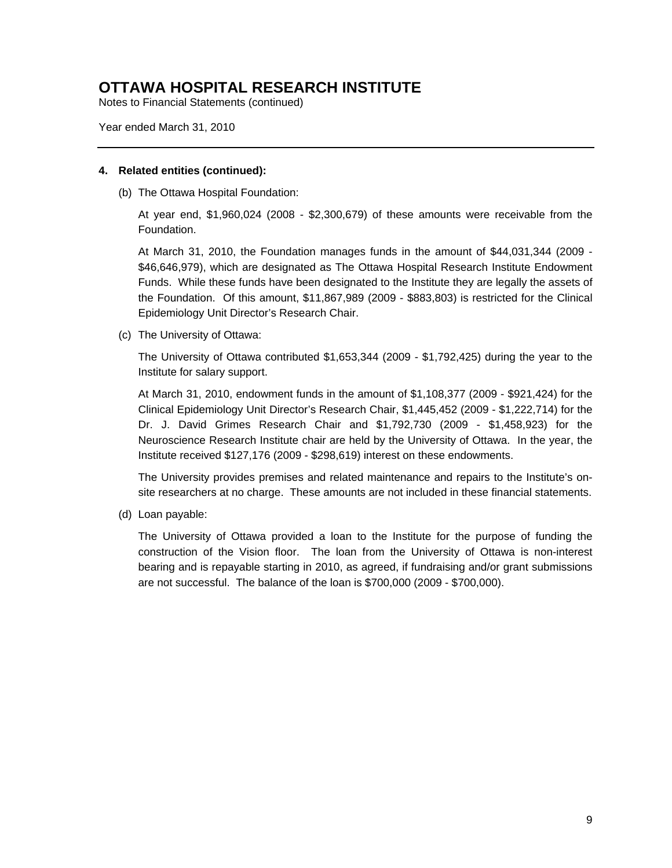Notes to Financial Statements (continued)

Year ended March 31, 2010

#### **4. Related entities (continued):**

(b) The Ottawa Hospital Foundation:

At year end, \$1,960,024 (2008 - \$2,300,679) of these amounts were receivable from the Foundation.

At March 31, 2010, the Foundation manages funds in the amount of \$44,031,344 (2009 - \$46,646,979), which are designated as The Ottawa Hospital Research Institute Endowment Funds. While these funds have been designated to the Institute they are legally the assets of the Foundation. Of this amount, \$11,867,989 (2009 - \$883,803) is restricted for the Clinical Epidemiology Unit Director's Research Chair.

(c) The University of Ottawa:

The University of Ottawa contributed \$1,653,344 (2009 - \$1,792,425) during the year to the Institute for salary support.

At March 31, 2010, endowment funds in the amount of \$1,108,377 (2009 - \$921,424) for the Clinical Epidemiology Unit Director's Research Chair, \$1,445,452 (2009 - \$1,222,714) for the Dr. J. David Grimes Research Chair and \$1,792,730 (2009 - \$1,458,923) for the Neuroscience Research Institute chair are held by the University of Ottawa. In the year, the Institute received \$127,176 (2009 - \$298,619) interest on these endowments.

The University provides premises and related maintenance and repairs to the Institute's onsite researchers at no charge. These amounts are not included in these financial statements.

(d) Loan payable:

The University of Ottawa provided a loan to the Institute for the purpose of funding the construction of the Vision floor. The loan from the University of Ottawa is non-interest bearing and is repayable starting in 2010, as agreed, if fundraising and/or grant submissions are not successful. The balance of the loan is \$700,000 (2009 - \$700,000).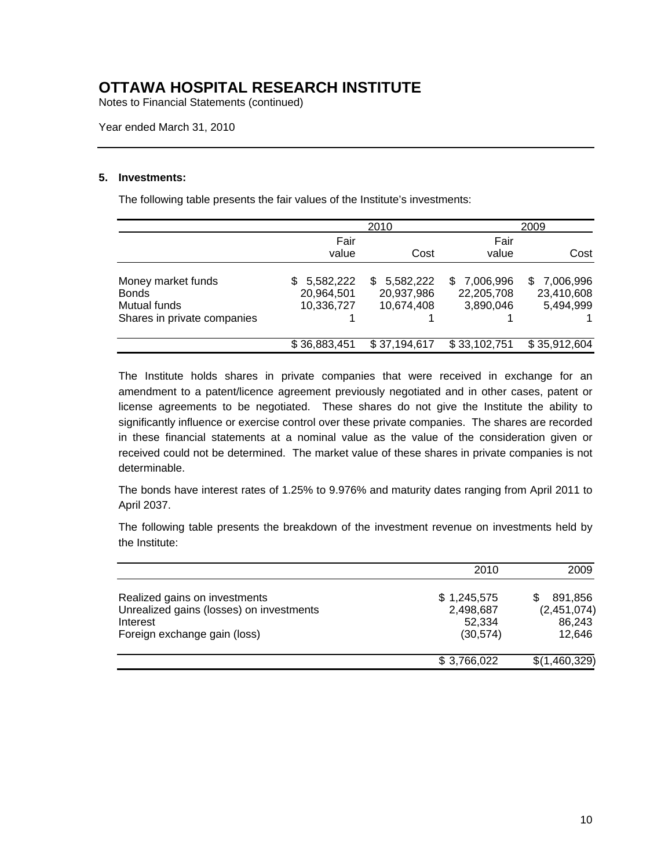Notes to Financial Statements (continued)

Year ended March 31, 2010

#### **5. Investments:**

The following table presents the fair values of the Institute's investments:

|                                                                                   |                                              | 2010                                         |                                           | 2009                                        |  |
|-----------------------------------------------------------------------------------|----------------------------------------------|----------------------------------------------|-------------------------------------------|---------------------------------------------|--|
|                                                                                   | Fair<br>value                                | Cost                                         | Fair<br>value                             | Cost                                        |  |
| Money market funds<br><b>Bonds</b><br>Mutual funds<br>Shares in private companies | 5,582,222<br>SS.<br>20,964,501<br>10,336,727 | 5,582,222<br>\$.<br>20,937,986<br>10,674,408 | 7,006,996<br>S<br>22,205,708<br>3,890,046 | 7,006,996<br>SS.<br>23,410,608<br>5,494,999 |  |
|                                                                                   | \$36,883,451                                 | \$37,194,617                                 | \$33,102,751                              | \$35,912,604                                |  |

The Institute holds shares in private companies that were received in exchange for an amendment to a patent/licence agreement previously negotiated and in other cases, patent or license agreements to be negotiated. These shares do not give the Institute the ability to significantly influence or exercise control over these private companies. The shares are recorded in these financial statements at a nominal value as the value of the consideration given or received could not be determined. The market value of these shares in private companies is not determinable.

The bonds have interest rates of 1.25% to 9.976% and maturity dates ranging from April 2011 to April 2037.

The following table presents the breakdown of the investment revenue on investments held by the Institute:

|                                                                                                                       | 2010                                            | 2009                                       |
|-----------------------------------------------------------------------------------------------------------------------|-------------------------------------------------|--------------------------------------------|
| Realized gains on investments<br>Unrealized gains (losses) on investments<br>Interest<br>Foreign exchange gain (loss) | \$1,245,575<br>2,498,687<br>52,334<br>(30, 574) | 891.856<br>(2,451,074)<br>86,243<br>12,646 |
|                                                                                                                       | \$3,766,022                                     | \$(1,460,329)                              |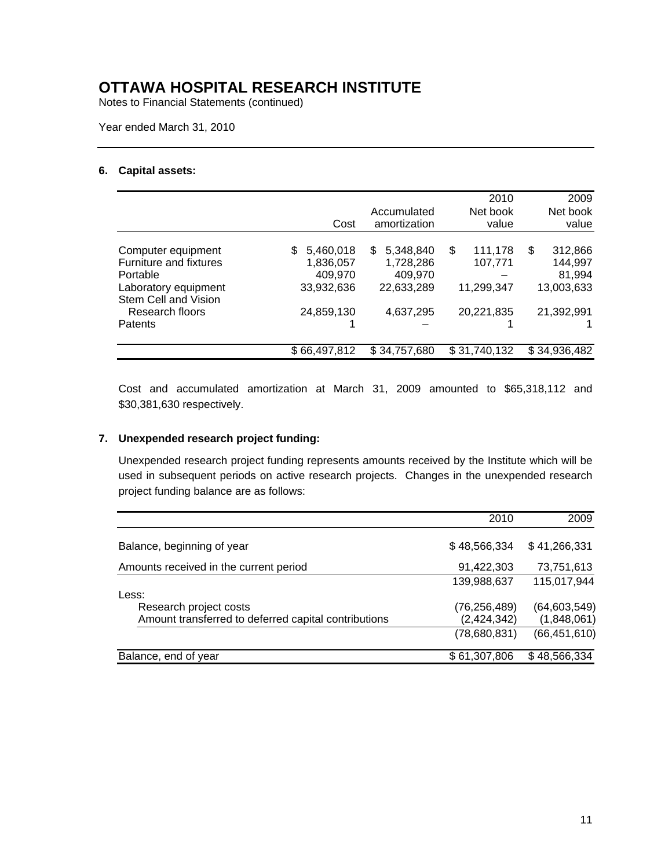Notes to Financial Statements (continued)

Year ended March 31, 2010

#### **6. Capital assets:**

|                                              |                |                  | 2010          | 2009          |
|----------------------------------------------|----------------|------------------|---------------|---------------|
|                                              |                | Accumulated      | Net book      | Net book      |
|                                              | Cost           | amortization     | value         | value         |
| Computer equipment                           | 5,460,018<br>S | 5,348,840<br>\$. | \$<br>111,178 | \$<br>312,866 |
| Furniture and fixtures                       | 1,836,057      | 1,728,286        | 107,771       | 144,997       |
| Portable                                     | 409,970        | 409,970          |               | 81,994        |
| Laboratory equipment<br>Stem Cell and Vision | 33,932,636     | 22,633,289       | 11,299,347    | 13,003,633    |
| Research floors                              | 24,859,130     | 4,637,295        | 20,221,835    | 21,392,991    |
| Patents                                      |                |                  |               |               |
|                                              | \$66,497,812   | \$34,757,680     | \$31,740,132  | \$34,936,482  |

Cost and accumulated amortization at March 31, 2009 amounted to \$65,318,112 and \$30,381,630 respectively.

#### **7. Unexpended research project funding:**

Unexpended research project funding represents amounts received by the Institute which will be used in subsequent periods on active research projects. Changes in the unexpended research project funding balance are as follows:

|                                                      | 2010         | 2009           |
|------------------------------------------------------|--------------|----------------|
| Balance, beginning of year                           | \$48,566,334 | \$41,266,331   |
| Amounts received in the current period               | 91,422,303   | 73,751,613     |
|                                                      | 139,988,637  | 115,017,944    |
| Less:                                                |              |                |
| Research project costs                               | (76,256,489) | (64, 603, 549) |
| Amount transferred to deferred capital contributions | (2,424,342)  | (1,848,061)    |
|                                                      | (78,680,831) | (66, 451, 610) |
| Balance, end of year                                 | \$61,307,806 | \$48,566,334   |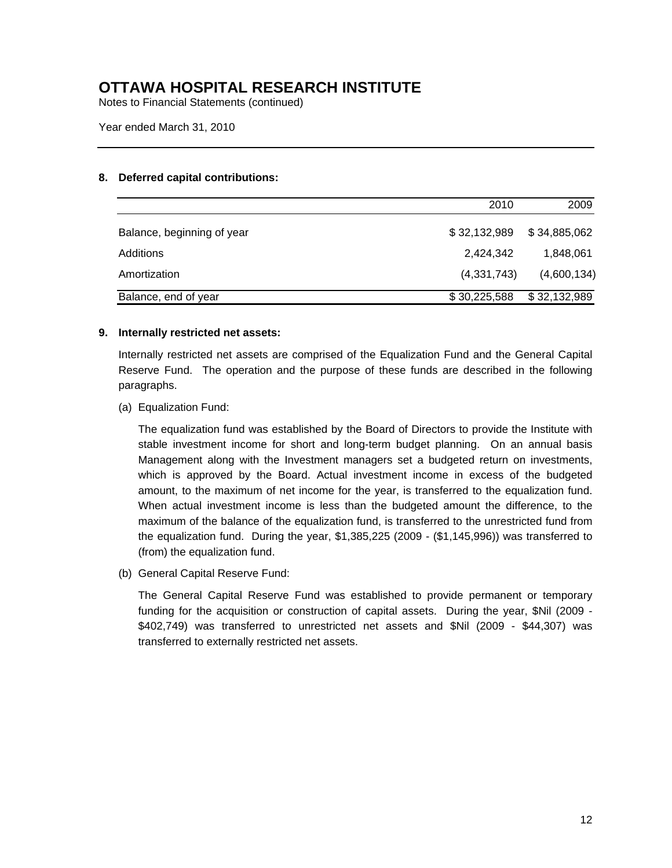Notes to Financial Statements (continued)

Year ended March 31, 2010

#### **8. Deferred capital contributions:**

|                            | 2010         | 2009         |
|----------------------------|--------------|--------------|
| Balance, beginning of year | \$32,132,989 | \$34,885,062 |
| Additions                  | 2.424.342    | 1,848,061    |
| Amortization               | (4,331,743)  | (4,600,134)  |
| Balance, end of year       | \$30,225,588 | \$32,132,989 |

#### **9. Internally restricted net assets:**

Internally restricted net assets are comprised of the Equalization Fund and the General Capital Reserve Fund. The operation and the purpose of these funds are described in the following paragraphs.

(a) Equalization Fund:

The equalization fund was established by the Board of Directors to provide the Institute with stable investment income for short and long-term budget planning. On an annual basis Management along with the Investment managers set a budgeted return on investments, which is approved by the Board. Actual investment income in excess of the budgeted amount, to the maximum of net income for the year, is transferred to the equalization fund. When actual investment income is less than the budgeted amount the difference, to the maximum of the balance of the equalization fund, is transferred to the unrestricted fund from the equalization fund. During the year, \$1,385,225 (2009 - (\$1,145,996)) was transferred to (from) the equalization fund.

(b) General Capital Reserve Fund:

The General Capital Reserve Fund was established to provide permanent or temporary funding for the acquisition or construction of capital assets. During the year, \$Nil (2009 - \$402,749) was transferred to unrestricted net assets and \$Nil (2009 - \$44,307) was transferred to externally restricted net assets.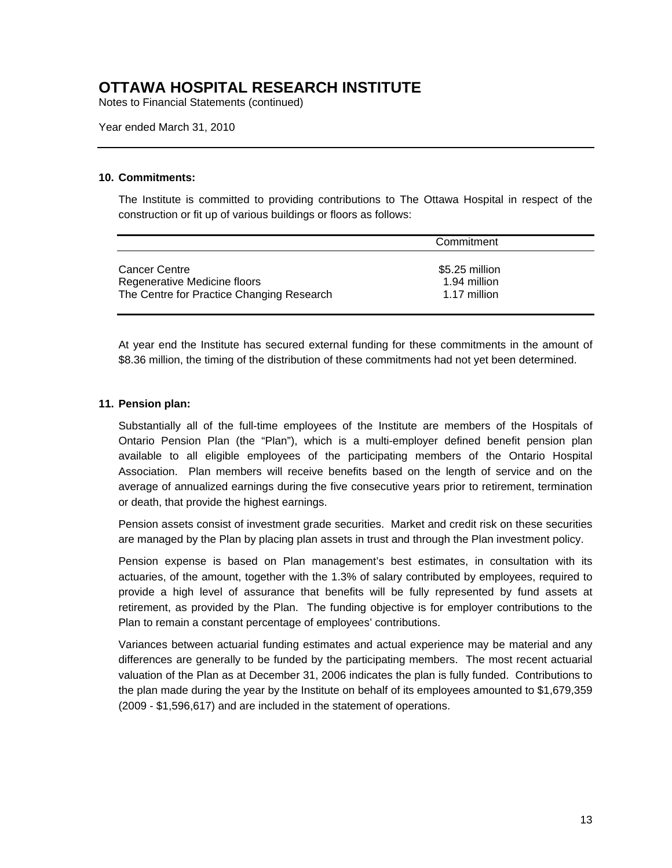Notes to Financial Statements (continued)

Year ended March 31, 2010

#### **10. Commitments:**

The Institute is committed to providing contributions to The Ottawa Hospital in respect of the construction or fit up of various buildings or floors as follows:

|                                                                                                   | Commitment                                     |  |
|---------------------------------------------------------------------------------------------------|------------------------------------------------|--|
| <b>Cancer Centre</b><br>Regenerative Medicine floors<br>The Centre for Practice Changing Research | \$5.25 million<br>1.94 million<br>1.17 million |  |

At year end the Institute has secured external funding for these commitments in the amount of \$8.36 million, the timing of the distribution of these commitments had not yet been determined.

#### **11. Pension plan:**

Substantially all of the full-time employees of the Institute are members of the Hospitals of Ontario Pension Plan (the "Plan"), which is a multi-employer defined benefit pension plan available to all eligible employees of the participating members of the Ontario Hospital Association. Plan members will receive benefits based on the length of service and on the average of annualized earnings during the five consecutive years prior to retirement, termination or death, that provide the highest earnings.

Pension assets consist of investment grade securities. Market and credit risk on these securities are managed by the Plan by placing plan assets in trust and through the Plan investment policy.

Pension expense is based on Plan management's best estimates, in consultation with its actuaries, of the amount, together with the 1.3% of salary contributed by employees, required to provide a high level of assurance that benefits will be fully represented by fund assets at retirement, as provided by the Plan. The funding objective is for employer contributions to the Plan to remain a constant percentage of employees' contributions.

Variances between actuarial funding estimates and actual experience may be material and any differences are generally to be funded by the participating members. The most recent actuarial valuation of the Plan as at December 31, 2006 indicates the plan is fully funded. Contributions to the plan made during the year by the Institute on behalf of its employees amounted to \$1,679,359 (2009 - \$1,596,617) and are included in the statement of operations.